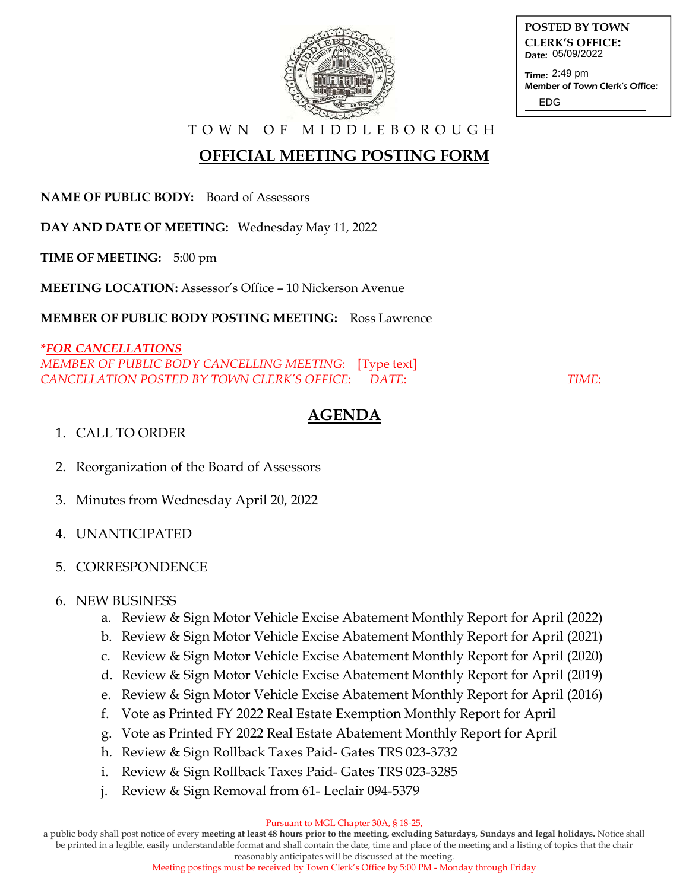

**POSTED BY TOWN CLERK'S OFFICE:** Date: 05/09/2022

Time: 2:49 pm Member of Town Clerk's Office: EDG

T O W N O F M I D D L E B O R O U G H

# **OFFICIAL MEETING POSTING FORM**

**NAME OF PUBLIC BODY:** Board of Assessors

**DAY AND DATE OF MEETING:** Wednesday May 11, 2022

**TIME OF MEETING:** 5:00 pm

**MEETING LOCATION:** Assessor's Office – 10 Nickerson Avenue

**MEMBER OF PUBLIC BODY POSTING MEETING:** Ross Lawrence

#### **\****FOR CANCELLATIONS*

*MEMBER OF PUBLIC BODY CANCELLING MEETING*: [Type text] *CANCELLATION POSTED BY TOWN CLERK'S OFFICE*: *DATE*: *TIME*:

## **AGENDA**

### 1. CALL TO ORDER

- 2. Reorganization of the Board of Assessors
- 3. Minutes from Wednesday April 20, 2022
- 4. UNANTICIPATED

## 5. CORRESPONDENCE

#### 6. NEW BUSINESS

- a. Review & Sign Motor Vehicle Excise Abatement Monthly Report for April (2022)
- b. Review & Sign Motor Vehicle Excise Abatement Monthly Report for April (2021)
- c. Review & Sign Motor Vehicle Excise Abatement Monthly Report for April (2020)
- d. Review & Sign Motor Vehicle Excise Abatement Monthly Report for April (2019)
- e. Review & Sign Motor Vehicle Excise Abatement Monthly Report for April (2016)
- f. Vote as Printed FY 2022 Real Estate Exemption Monthly Report for April
- g. Vote as Printed FY 2022 Real Estate Abatement Monthly Report for April
- h. Review & Sign Rollback Taxes Paid- Gates TRS 023-3732
- i. Review & Sign Rollback Taxes Paid- Gates TRS 023-3285
- j. Review & Sign Removal from 61- Leclair 094-5379

#### Pursuant to MGL Chapter 30A, § 18-25,

a public body shall post notice of every **meeting at least 48 hours prior to the meeting, excluding Saturdays, Sundays and legal holidays.** Notice shall be printed in a legible, easily understandable format and shall contain the date, time and place of the meeting and a listing of topics that the chair reasonably anticipates will be discussed at the meeting.